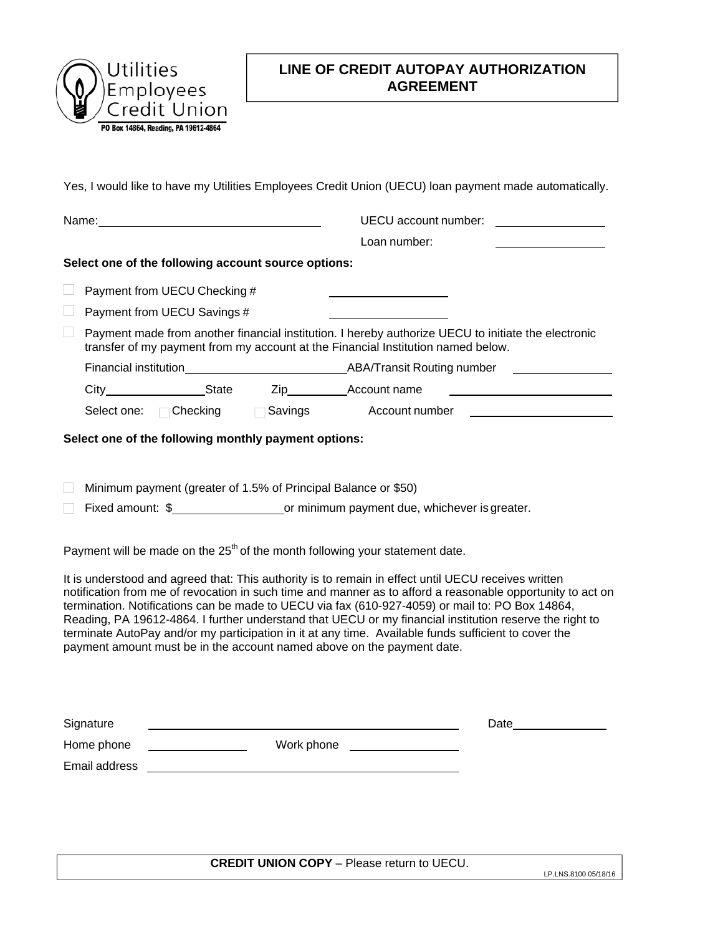

## **LINE OF CREDIT AUTOPAY AUTHORIZATION AGREEMENT**

Yes, I would like to have my Utilities Employees Credit Union (UECU) loan payment made automatically.

|                                                                                                                                                                                                                                                                                                                                                                                                                                                                                                                                                                                                                                                                                                                                                                       |                             |                                                 |  | UECU account number: UECU account                                                                                                                                                       |  |  |  |
|-----------------------------------------------------------------------------------------------------------------------------------------------------------------------------------------------------------------------------------------------------------------------------------------------------------------------------------------------------------------------------------------------------------------------------------------------------------------------------------------------------------------------------------------------------------------------------------------------------------------------------------------------------------------------------------------------------------------------------------------------------------------------|-----------------------------|-------------------------------------------------|--|-----------------------------------------------------------------------------------------------------------------------------------------------------------------------------------------|--|--|--|
|                                                                                                                                                                                                                                                                                                                                                                                                                                                                                                                                                                                                                                                                                                                                                                       |                             |                                                 |  | Loan number:                                                                                                                                                                            |  |  |  |
| Select one of the following account source options:                                                                                                                                                                                                                                                                                                                                                                                                                                                                                                                                                                                                                                                                                                                   |                             |                                                 |  |                                                                                                                                                                                         |  |  |  |
|                                                                                                                                                                                                                                                                                                                                                                                                                                                                                                                                                                                                                                                                                                                                                                       |                             | Payment from UECU Checking #                    |  |                                                                                                                                                                                         |  |  |  |
|                                                                                                                                                                                                                                                                                                                                                                                                                                                                                                                                                                                                                                                                                                                                                                       |                             | Payment from UECU Savings #                     |  |                                                                                                                                                                                         |  |  |  |
|                                                                                                                                                                                                                                                                                                                                                                                                                                                                                                                                                                                                                                                                                                                                                                       |                             |                                                 |  | Payment made from another financial institution. I hereby authorize UECU to initiate the electronic<br>transfer of my payment from my account at the Financial Institution named below. |  |  |  |
|                                                                                                                                                                                                                                                                                                                                                                                                                                                                                                                                                                                                                                                                                                                                                                       |                             |                                                 |  |                                                                                                                                                                                         |  |  |  |
|                                                                                                                                                                                                                                                                                                                                                                                                                                                                                                                                                                                                                                                                                                                                                                       |                             |                                                 |  | <u> 1989 - Andrea State Barbara, politik e</u>                                                                                                                                          |  |  |  |
|                                                                                                                                                                                                                                                                                                                                                                                                                                                                                                                                                                                                                                                                                                                                                                       |                             |                                                 |  | Select one: Checking Savings Account number                                                                                                                                             |  |  |  |
| Select one of the following monthly payment options:                                                                                                                                                                                                                                                                                                                                                                                                                                                                                                                                                                                                                                                                                                                  |                             |                                                 |  |                                                                                                                                                                                         |  |  |  |
| Minimum payment (greater of 1.5% of Principal Balance or \$50)<br>Payment will be made on the $25th$ of the month following your statement date.<br>It is understood and agreed that: This authority is to remain in effect until UECU receives written<br>notification from me of revocation in such time and manner as to afford a reasonable opportunity to act on<br>termination. Notifications can be made to UECU via fax (610-927-4059) or mail to: PO Box 14864,<br>Reading, PA 19612-4864. I further understand that UECU or my financial institution reserve the right to<br>terminate AutoPay and/or my participation in it at any time. Available funds sufficient to cover the<br>payment amount must be in the account named above on the payment date. |                             |                                                 |  |                                                                                                                                                                                         |  |  |  |
|                                                                                                                                                                                                                                                                                                                                                                                                                                                                                                                                                                                                                                                                                                                                                                       | Signature                   |                                                 |  | Date________                                                                                                                                                                            |  |  |  |
|                                                                                                                                                                                                                                                                                                                                                                                                                                                                                                                                                                                                                                                                                                                                                                       | Home phone<br>Email address |                                                 |  |                                                                                                                                                                                         |  |  |  |
|                                                                                                                                                                                                                                                                                                                                                                                                                                                                                                                                                                                                                                                                                                                                                                       |                             | <u> 1980 - Andrea Station Barbara (b. 1980)</u> |  |                                                                                                                                                                                         |  |  |  |
|                                                                                                                                                                                                                                                                                                                                                                                                                                                                                                                                                                                                                                                                                                                                                                       |                             |                                                 |  |                                                                                                                                                                                         |  |  |  |
|                                                                                                                                                                                                                                                                                                                                                                                                                                                                                                                                                                                                                                                                                                                                                                       |                             |                                                 |  |                                                                                                                                                                                         |  |  |  |

**CREDIT UNION COPY** – Please return to UECU.